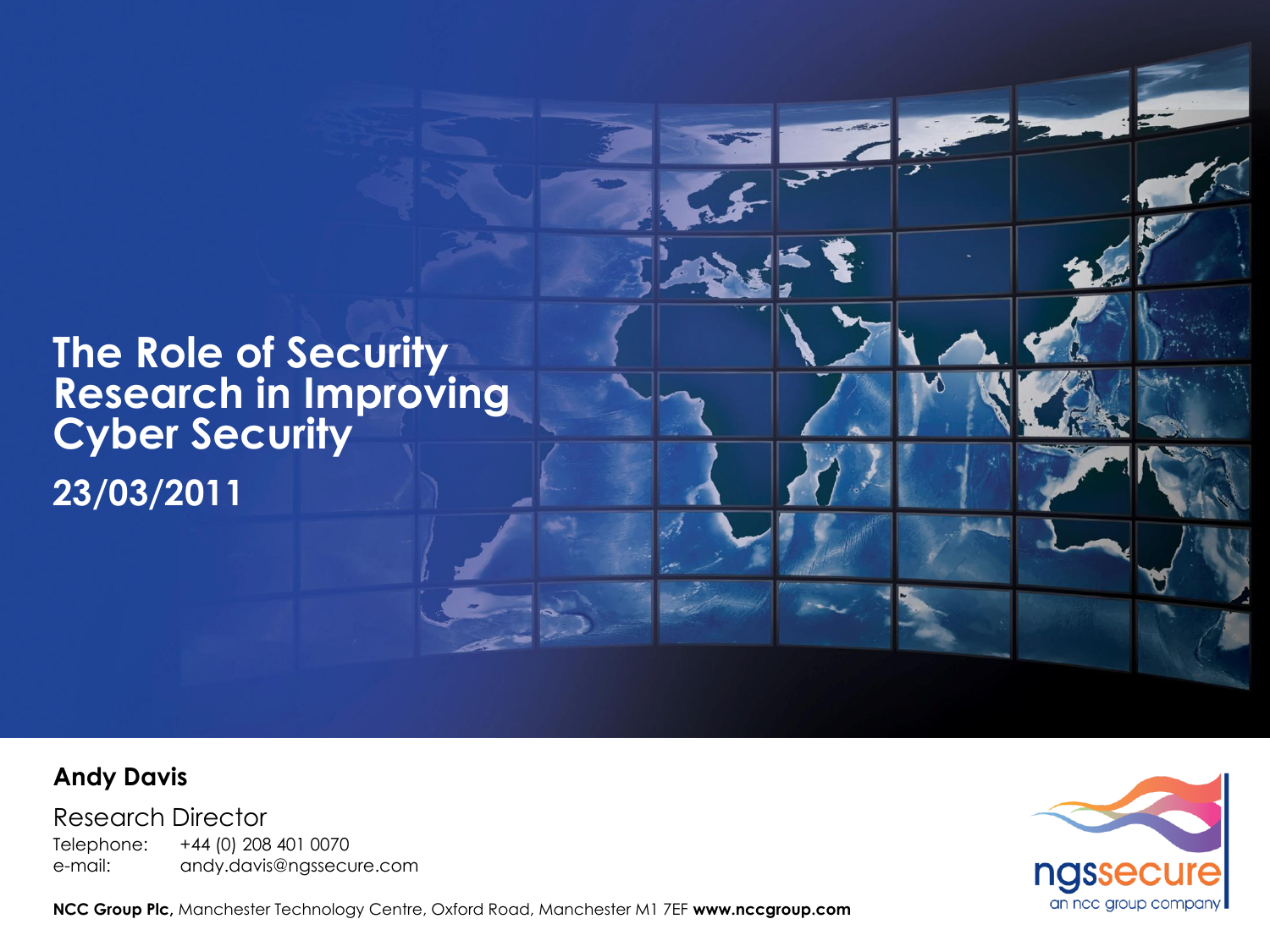

#### **Andy Davis**

Research Director Telephone: +44 (0) 208 401 0070 e-mail: andy.davis@ngssecure.com



**NCC Group Plc,** Manchester Technology Centre, Oxford Road, Manchester M1 7EF **www.nccgroup.com**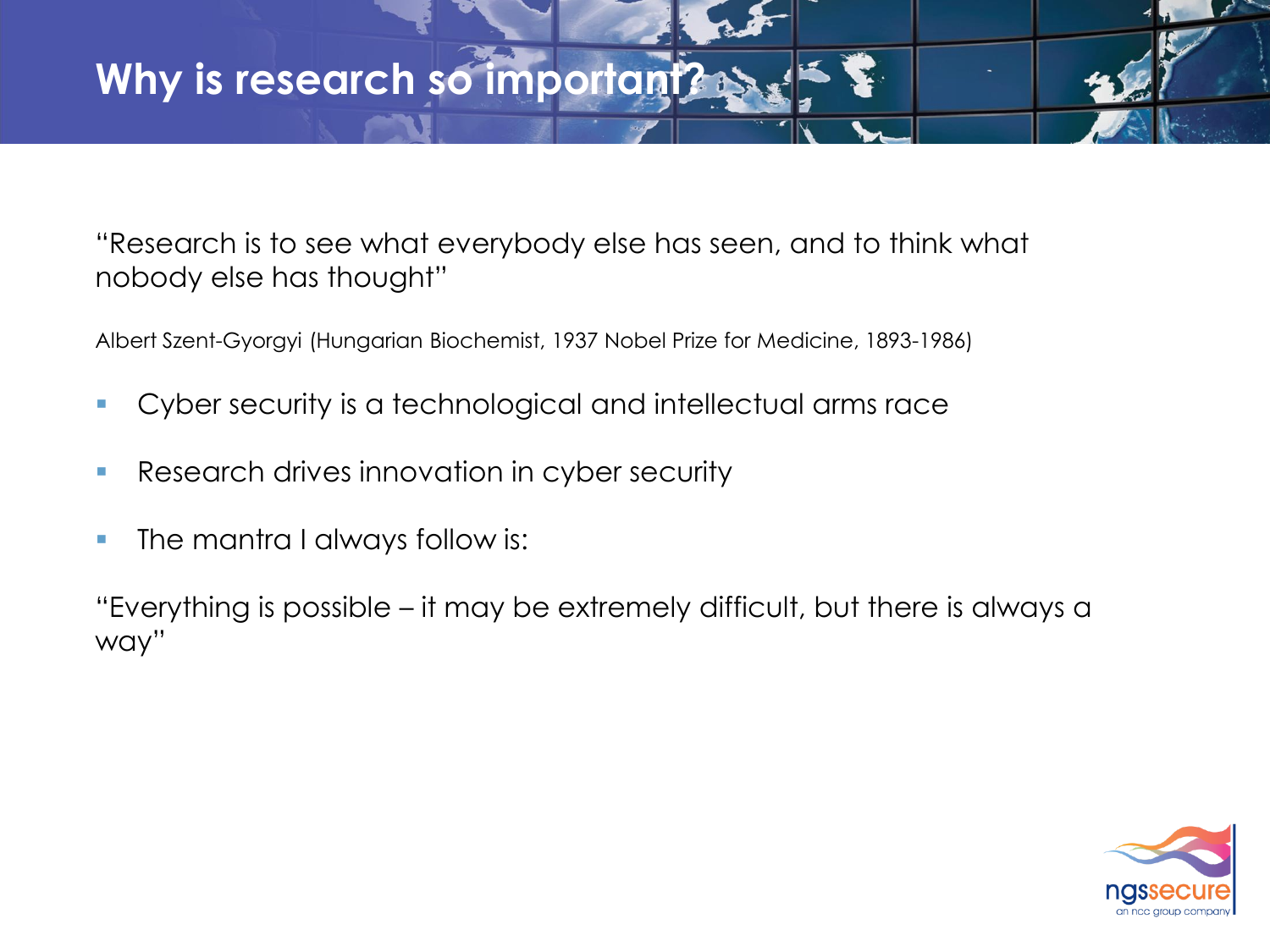"Research is to see what everybody else has seen, and to think what nobody else has thought"

Albert Szent-Gyorgyi (Hungarian Biochemist, 1937 Nobel Prize for Medicine, 1893-1986)

- Cyber security is a technological and intellectual arms race
- **Research drives innovation in cyber security**
- The mantra I always follow is:

"Everything is possible – it may be extremely difficult, but there is always a way"

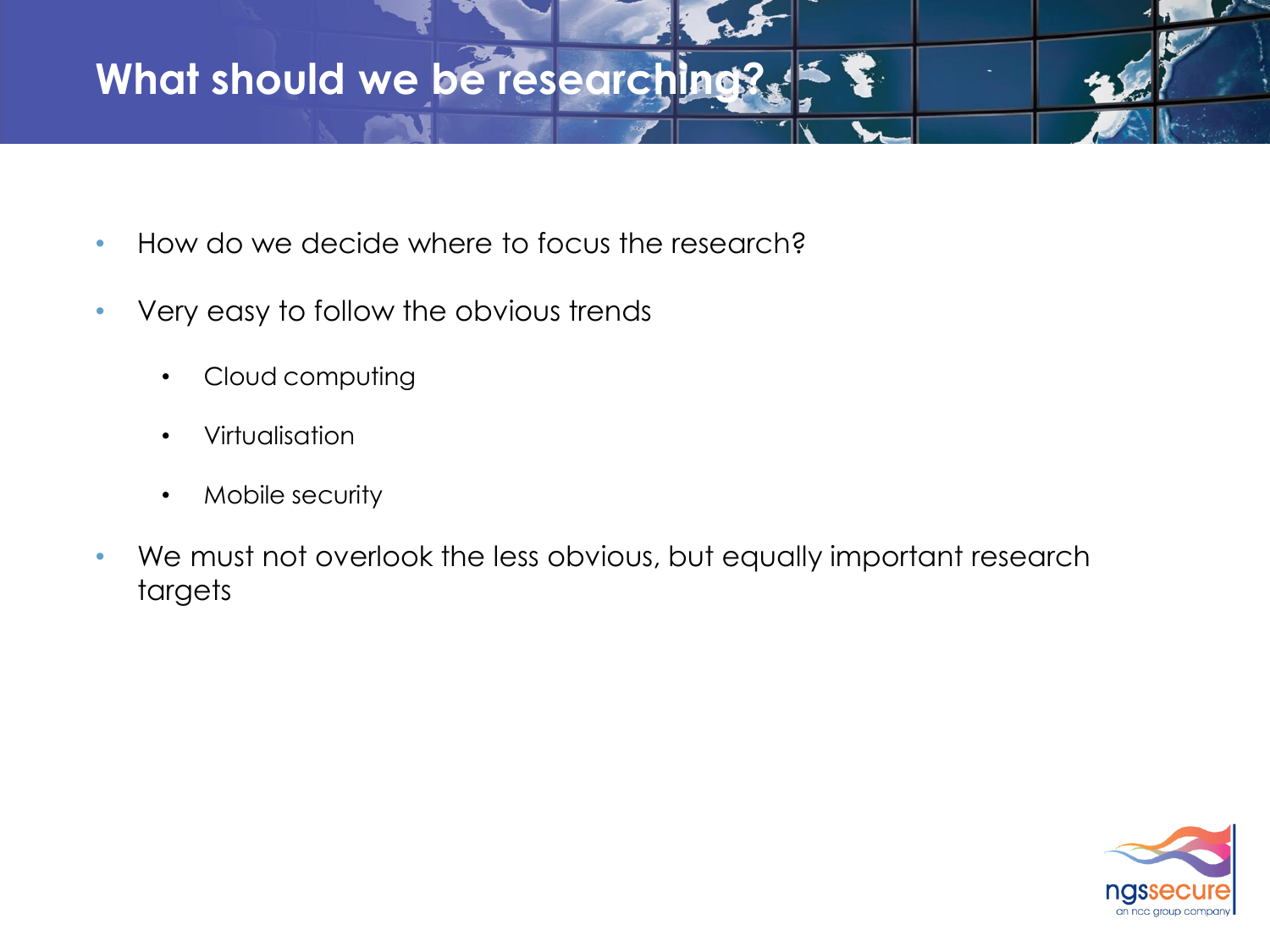## **What should we be researching?**

- How do we decide where to focus the research?
- Very easy to follow the obvious trends
	- Cloud computing
	- Virtualisation
	- Mobile security
- We must not overlook the less obvious, but equally important research targets

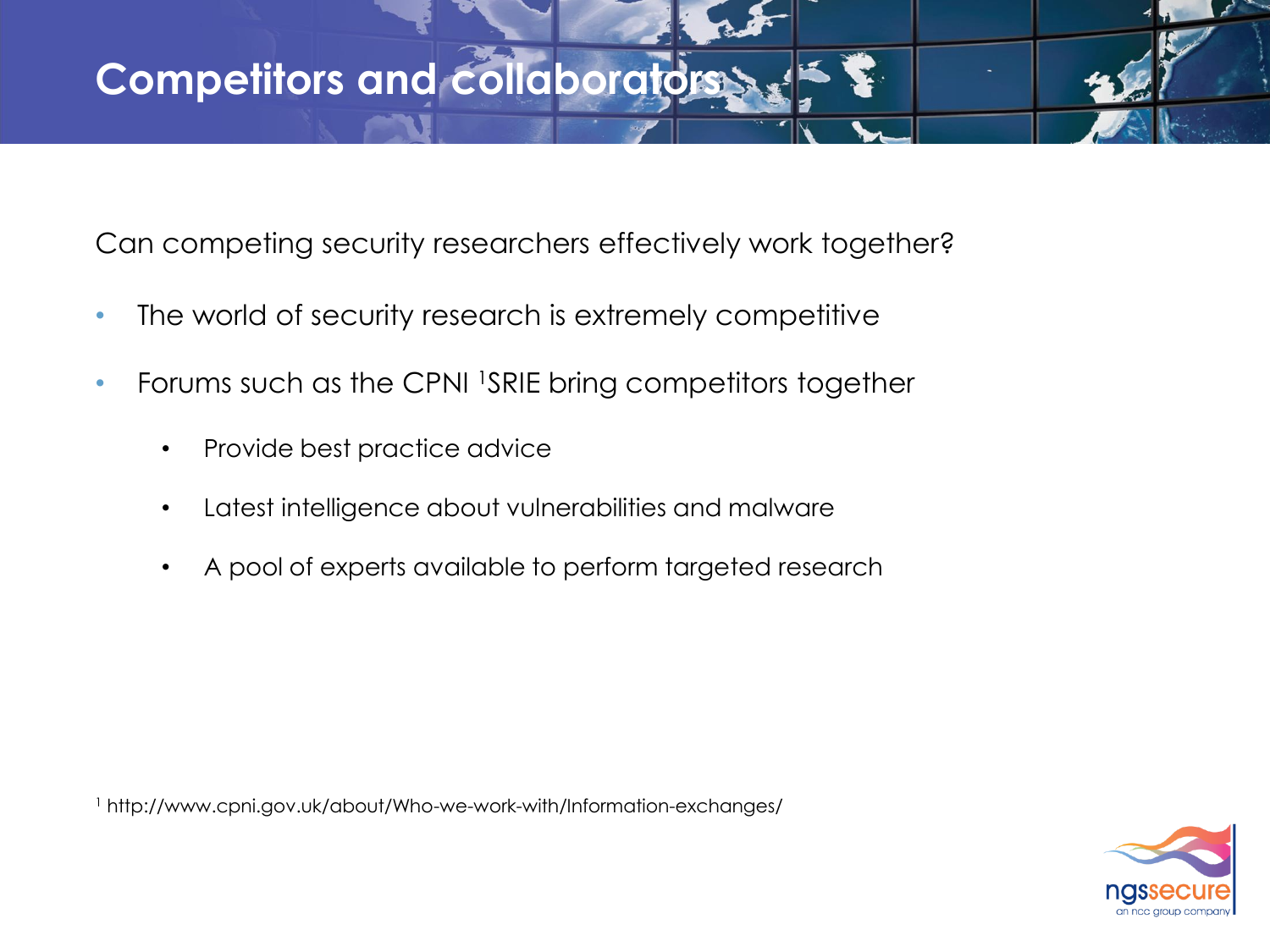Can competing security researchers effectively work together?

- The world of security research is extremely competitive
- Forums such as the CPNI <sup>1</sup>SRIE bring competitors together
	- Provide best practice advice
	- Latest intelligence about vulnerabilities and malware
	- A pool of experts available to perform targeted research

<sup>1</sup> http://www.cpni.gov.uk/about/Who-we-work-with/Information-exchanges/

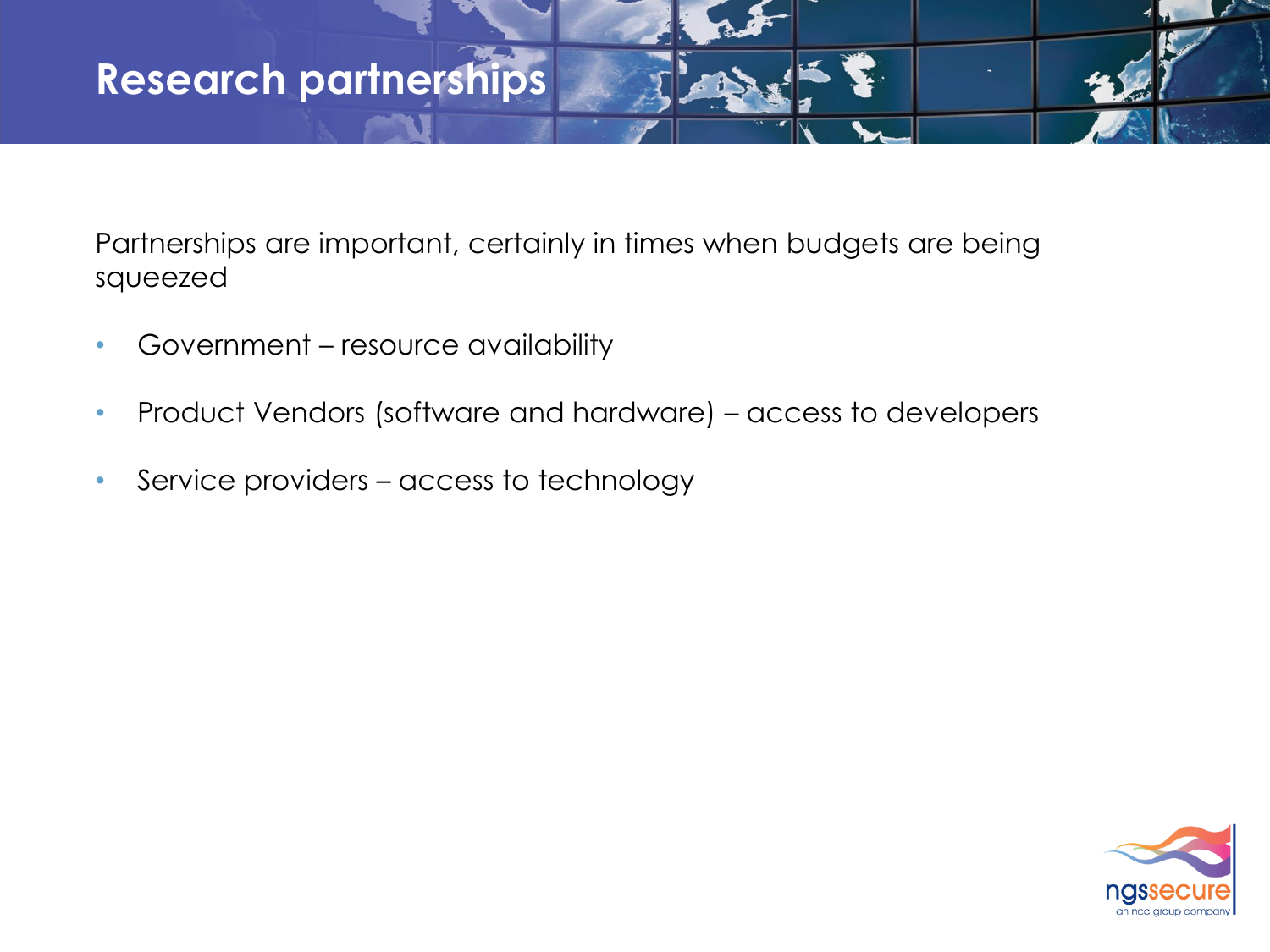## **Research partnerships**

Partnerships are important, certainly in times when budgets are being squeezed

- Government resource availability
- Product Vendors (software and hardware) access to developers
- Service providers access to technology

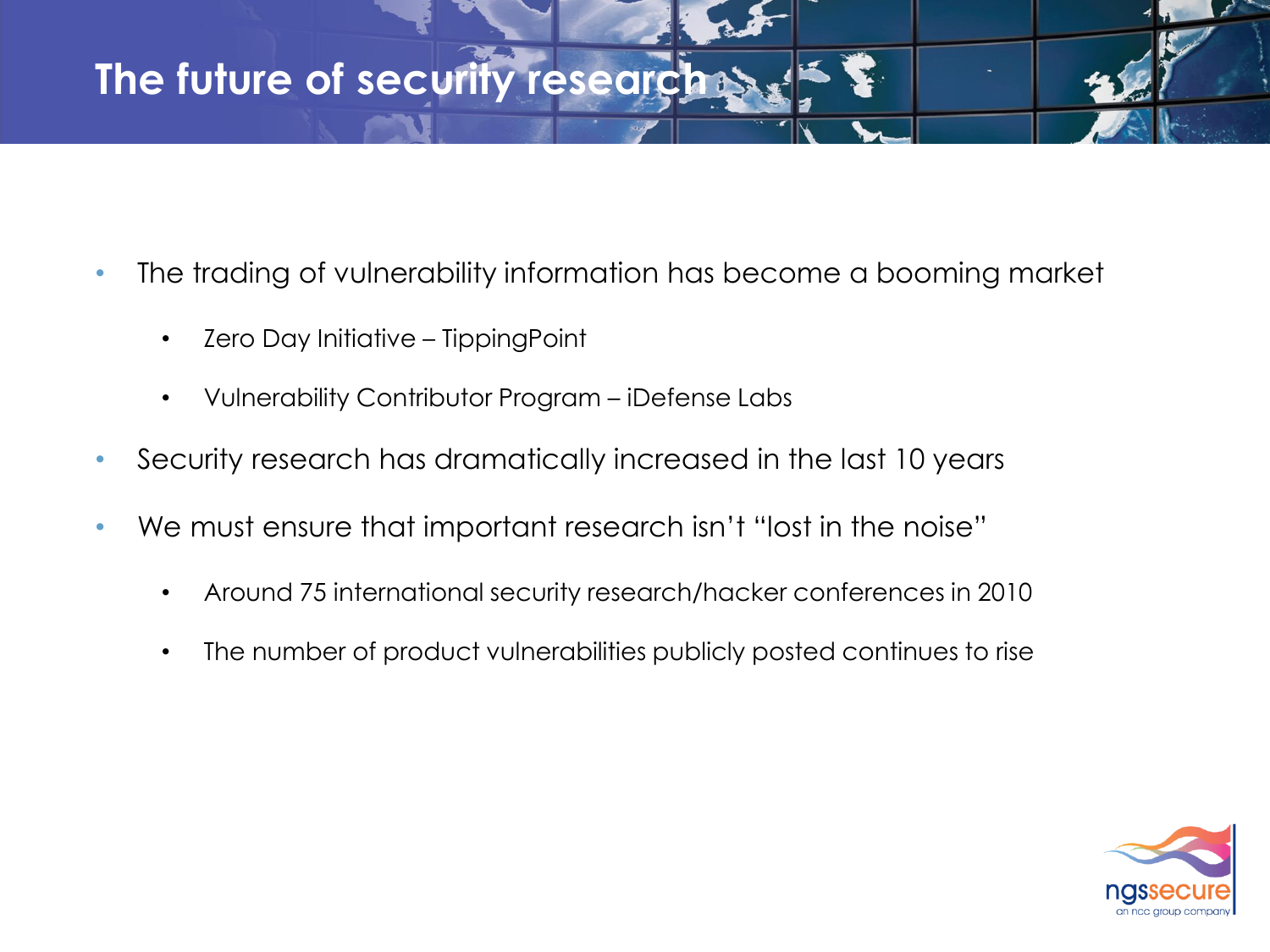# **The future of security research >>**

- The trading of vulnerability information has become a booming market
	- Zero Day Initiative TippingPoint
	- Vulnerability Contributor Program iDefense Labs
- Security research has dramatically increased in the last 10 years
- We must ensure that important research isn't "lost in the noise"
	- Around 75 international security research/hacker conferences in 2010
	- The number of product vulnerabilities publicly posted continues to rise

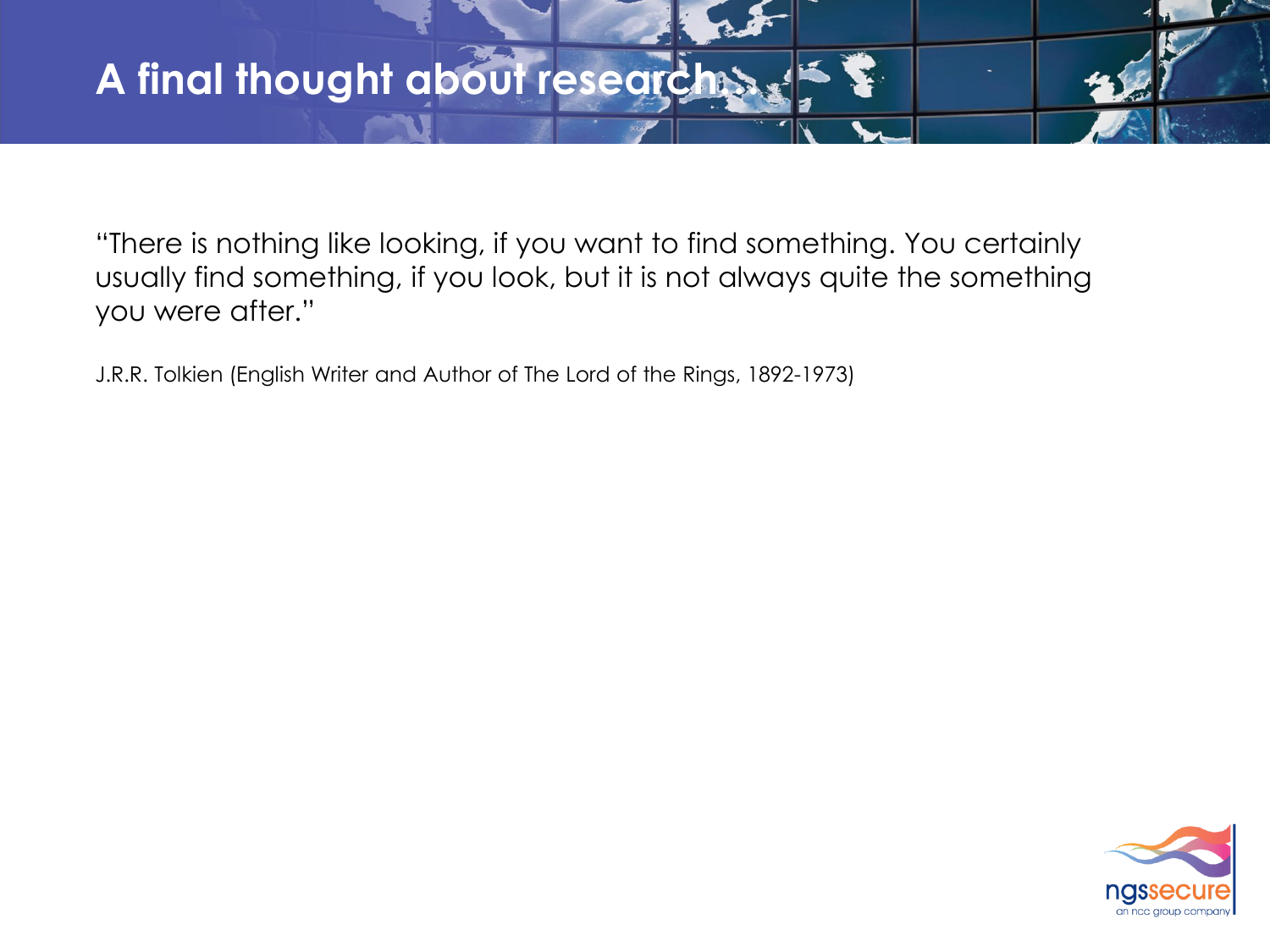"There is nothing like looking, if you want to find something. You certainly usually find something, if you look, but it is not always quite the something you were after."

J.R.R. Tolkien (English Writer and Author of The Lord of the Rings, 1892-1973)